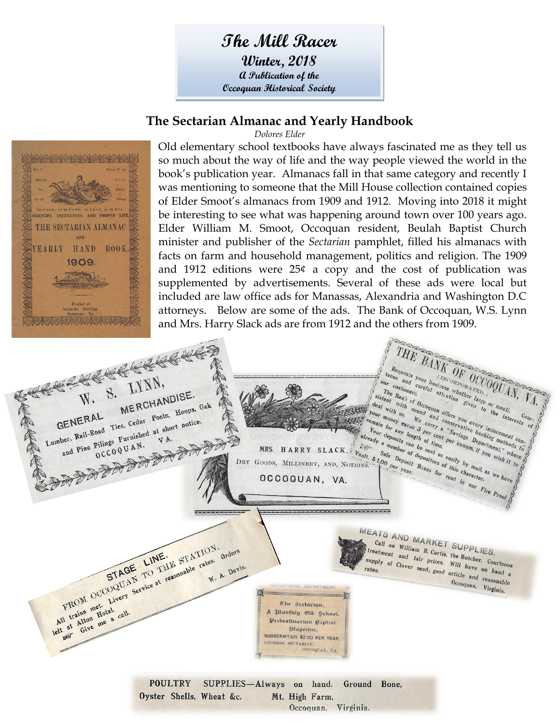# **The Mill Racer**

**Winter, 2018 A Publication of the Occoquan Historical Society**

#### **The Sectarian Almanac and Yearly Handbook**





Old elementary school textbooks have always fascinated me as they tell us so much about the way of life and the way people viewed the world in the book's publication year. Almanacs fall in that same category and recently I was mentioning to someone that the Mill House collection contained copies of Elder Smoot's almanacs from 1909 and 1912. Moving into 2018 it might be interesting to see what was happening around town over 100 years ago. Elder William M. Smoot, Occoquan resident, Beulah Baptist Church minister and publisher of the *Sectarian* pamphlet, filled his almanacs with facts on farm and household management, politics and religion. The 1909 and 1912 editions were 25¢ a copy and the cost of publication was supplemented by advertisements. Several of these ads were local but included are law office ads for Manassas, Alexandria and Washington D.C attorneys. Below are some of the ads. The Bank of Occoquan, W.S. Lynn and Mrs. Harry Slack ads are from 1912 and the others from 1909.

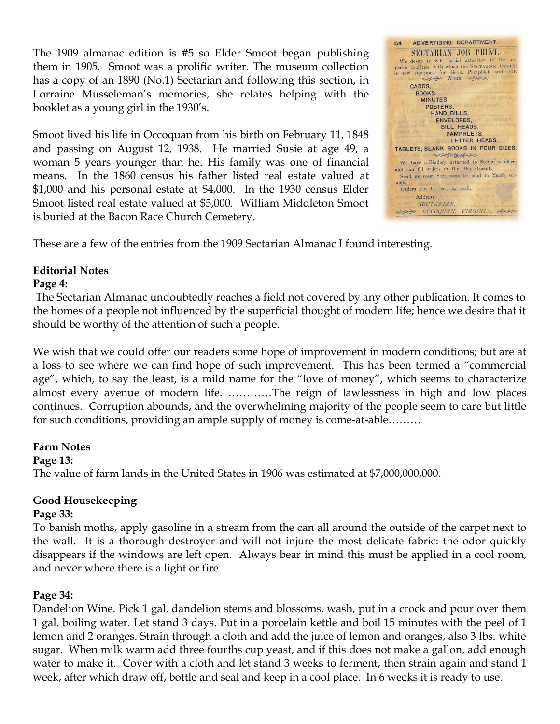The 1909 almanac edition is #5 so Elder Smoot began publishing them in 1905. Smoot was a prolific writer. The museum collection has a copy of an 1890 (No.1) Sectarian and following this section, in Lorraine Musseleman's memories, she relates helping with the booklet as a young girl in the 1930's.

Smoot lived his life in Occoquan from his birth on February 11, 1848 and passing on August 12, 1938. He married Susie at age 49, a woman 5 years younger than he. His family was one of financial means. In the 1860 census his father listed real estate valued at \$1,000 and his personal estate at \$4,000. In the 1930 census Elder Smoot listed real estate valued at \$5,000. William Middleton Smoot is buried at the Bacon Race Church Cemetery.



These are a few of the entries from the 1909 Sectarian Almanac I found interesting.

# **Editorial Notes**

#### **Page 4:**

The Sectarian Almanac undoubtedly reaches a field not covered by any other publication. It comes to the homes of a people not influenced by the superficial thought of modern life; hence we desire that it should be worthy of the attention of such a people.

We wish that we could offer our readers some hope of improvement in modern conditions; but are at a loss to see where we can find hope of such improvement. This has been termed a "commercial age", which, to say the least, is a mild name for the "love of money", which seems to characterize almost every avenue of modern life. …………The reign of lawlessness in high and low places continues. Corruption abounds, and the overwhelming majority of the people seem to care but little for such conditions, providing an ample supply of money is come-at-able………

#### **Farm Notes**

#### **Page 13:**

The value of farm lands in the United States in 1906 was estimated at \$7,000,000,000.

# **Good Housekeeping**

#### **Page 33:**

To banish moths, apply gasoline in a stream from the can all around the outside of the carpet next to the wall. It is a thorough destroyer and will not injure the most delicate fabric: the odor quickly disappears if the windows are left open. Always bear in mind this must be applied in a cool room, and never where there is a light or fire.

#### **Page 34:**

Dandelion Wine. Pick 1 gal. dandelion stems and blossoms, wash, put in a crock and pour over them 1 gal. boiling water. Let stand 3 days. Put in a porcelain kettle and boil 15 minutes with the peel of 1 lemon and 2 oranges. Strain through a cloth and add the juice of lemon and oranges, also 3 lbs. white sugar. When milk warm add three fourths cup yeast, and if this does not make a gallon, add enough water to make it. Cover with a cloth and let stand 3 weeks to ferment, then strain again and stand 1 week, after which draw off, bottle and seal and keep in a cool place. In 6 weeks it is ready to use.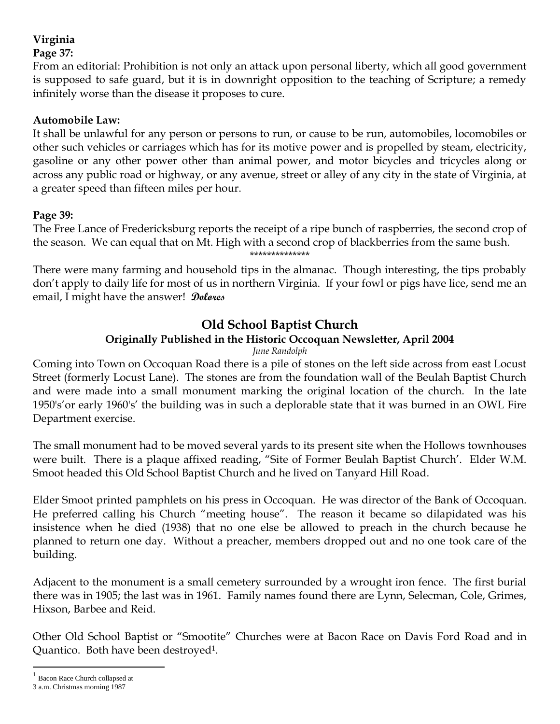## **Virginia**

#### **Page 37:**

From an editorial: Prohibition is not only an attack upon personal liberty, which all good government is supposed to safe guard, but it is in downright opposition to the teaching of Scripture; a remedy infinitely worse than the disease it proposes to cure.

### **Automobile Law:**

It shall be unlawful for any person or persons to run, or cause to be run, automobiles, locomobiles or other such vehicles or carriages which has for its motive power and is propelled by steam, electricity, gasoline or any other power other than animal power, and motor bicycles and tricycles along or across any public road or highway, or any avenue, street or alley of any city in the state of Virginia, at a greater speed than fifteen miles per hour.

### **Page 39:**

The Free Lance of Fredericksburg reports the receipt of a ripe bunch of raspberries, the second crop of the season. We can equal that on Mt. High with a second crop of blackberries from the same bush. \*\*\*\*\*\*\*\*\*\*\*\*\*\*

There were many farming and household tips in the almanac. Though interesting, the tips probably don't apply to daily life for most of us in northern Virginia. If your fowl or pigs have lice, send me an email, I might have the answer! **Dolores**

# **Old School Baptist Church**

## **Originally Published in the Historic Occoquan Newsletter, April 2004**

#### *June Randolph*

Coming into Town on Occoquan Road there is a pile of stones on the left side across from east Locust Street (formerly Locust Lane). The stones are from the foundation wall of the Beulah Baptist Church and were made into a small monument marking the original location of the church. In the late 1950's'or early 1960's' the building was in such a deplorable state that it was burned in an OWL Fire Department exercise.

The small monument had to be moved several yards to its present site when the Hollows townhouses were built. There is a plaque affixed reading, "Site of Former Beulah Baptist Church'. Elder W.M. Smoot headed this Old School Baptist Church and he lived on Tanyard Hill Road.

Elder Smoot printed pamphlets on his press in Occoquan. He was director of the Bank of Occoquan. He preferred calling his Church "meeting house". The reason it became so dilapidated was his insistence when he died (1938) that no one else be allowed to preach in the church because he planned to return one day. Without a preacher, members dropped out and no one took care of the building.

Adjacent to the monument is a small cemetery surrounded by a wrought iron fence. The first burial there was in 1905; the last was in 1961. Family names found there are Lynn, Selecman, Cole, Grimes, Hixson, Barbee and Reid.

Other Old School Baptist or "Smootite" Churches were at Bacon Race on Davis Ford Road and in Quantico. Both have been destroyed1.

 $\overline{a}$ 

<sup>1</sup> Bacon Race Church collapsed at

<sup>3</sup> a.m. Christmas morning 1987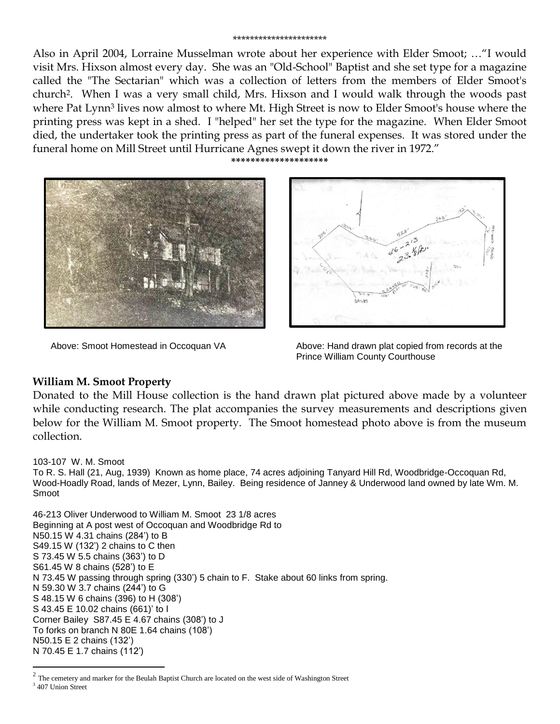#### \*\*\*\*\*\*\*\*\*\*\*\*\*\*\*\*\*\*\*\*\*\*

Also in April 2004, Lorraine Musselman wrote about her experience with Elder Smoot; …"I would visit Mrs. Hixson almost every day. She was an "Old-School" Baptist and she set type for a magazine called the "The Sectarian" which was a collection of letters from the members of Elder Smoot's church2. When I was a very small child, Mrs. Hixson and I would walk through the woods past where Pat Lynn<sup>3</sup> lives now almost to where Mt. High Street is now to Elder Smoot's house where the printing press was kept in a shed. I "helped" her set the type for the magazine. When Elder Smoot died, the undertaker took the printing press as part of the funeral expenses. It was stored under the funeral home on Mill Street until Hurricane Agnes swept it down the river in 1972."

**\*\*\*\*\*\*\*\*\*\*\*\*\*\*\*\*\*\*\*\***





Above: Smoot Homestead in Occoquan VA Above: Hand drawn plat copied from records at the Prince William County Courthouse

#### **William M. Smoot Property**

Donated to the Mill House collection is the hand drawn plat pictured above made by a volunteer while conducting research. The plat accompanies the survey measurements and descriptions given below for the William M. Smoot property. The Smoot homestead photo above is from the museum collection.

#### 103-107 W. M. Smoot

To R. S. Hall (21, Aug, 1939) Known as home place, 74 acres adjoining Tanyard Hill Rd, Woodbridge-Occoquan Rd, Wood-Hoadly Road, lands of Mezer, Lynn, Bailey. Being residence of Janney & Underwood land owned by late Wm. M. Smoot

46-213 Oliver Underwood to William M. Smoot 23 1/8 acres Beginning at A post west of Occoquan and Woodbridge Rd to N50.15 W 4.31 chains (284') to B S49.15 W (132') 2 chains to C then S 73.45 W 5.5 chains (363') to D S61.45 W 8 chains (528') to E N 73.45 W passing through spring (330') 5 chain to F. Stake about 60 links from spring. N 59.30 W 3.7 chains (244') to G S 48.15 W 6 chains (396) to H (308') S 43.45 E 10.02 chains (661)' to I Corner Bailey S87.45 E 4.67 chains (308') to J To forks on branch N 80E 1.64 chains (108') N50.15 E 2 chains (132') N 70.45 E 1.7 chains (112')

 $\overline{a}$ 

 $2$  The cemetery and marker for the Beulah Baptist Church are located on the west side of Washington Street

<sup>&</sup>lt;sup>3</sup> 407 Union Street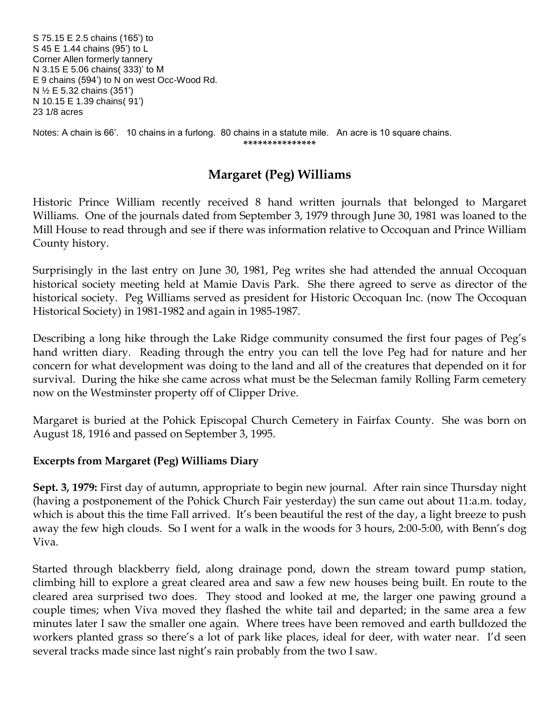S 75.15 E 2.5 chains (165') to S 45 E 1.44 chains (95') to L Corner Allen formerly tannery N 3.15 E 5.06 chains( 333)' to M E 9 chains (594') to N on west Occ-Wood Rd. N ½ E 5.32 chains (351') N 10.15 E 1.39 chains( 91') 23 1/8 acres

Notes: A chain is 66'. 10 chains in a furlong. 80 chains in a statute mile. An acre is 10 square chains. **\*\*\*\*\*\*\*\*\*\*\*\*\*\*\***

# **Margaret (Peg) Williams**

Historic Prince William recently received 8 hand written journals that belonged to Margaret Williams. One of the journals dated from September 3, 1979 through June 30, 1981 was loaned to the Mill House to read through and see if there was information relative to Occoquan and Prince William County history.

Surprisingly in the last entry on June 30, 1981, Peg writes she had attended the annual Occoquan historical society meeting held at Mamie Davis Park. She there agreed to serve as director of the historical society. Peg Williams served as president for Historic Occoquan Inc. (now The Occoquan Historical Society) in 1981-1982 and again in 1985-1987.

Describing a long hike through the Lake Ridge community consumed the first four pages of Peg's hand written diary. Reading through the entry you can tell the love Peg had for nature and her concern for what development was doing to the land and all of the creatures that depended on it for survival. During the hike she came across what must be the Selecman family Rolling Farm cemetery now on the Westminster property off of Clipper Drive.

Margaret is buried at the Pohick Episcopal Church Cemetery in Fairfax County. She was born on August 18, 1916 and passed on September 3, 1995.

#### **Excerpts from Margaret (Peg) Williams Diary**

**Sept. 3, 1979:** First day of autumn, appropriate to begin new journal. After rain since Thursday night (having a postponement of the Pohick Church Fair yesterday) the sun came out about 11:a.m. today, which is about this the time Fall arrived. It's been beautiful the rest of the day, a light breeze to push away the few high clouds. So I went for a walk in the woods for 3 hours, 2:00-5:00, with Benn's dog Viva.

Started through blackberry field, along drainage pond, down the stream toward pump station, climbing hill to explore a great cleared area and saw a few new houses being built. En route to the cleared area surprised two does. They stood and looked at me, the larger one pawing ground a couple times; when Viva moved they flashed the white tail and departed; in the same area a few minutes later I saw the smaller one again. Where trees have been removed and earth bulldozed the workers planted grass so there's a lot of park like places, ideal for deer, with water near. I'd seen several tracks made since last night's rain probably from the two I saw.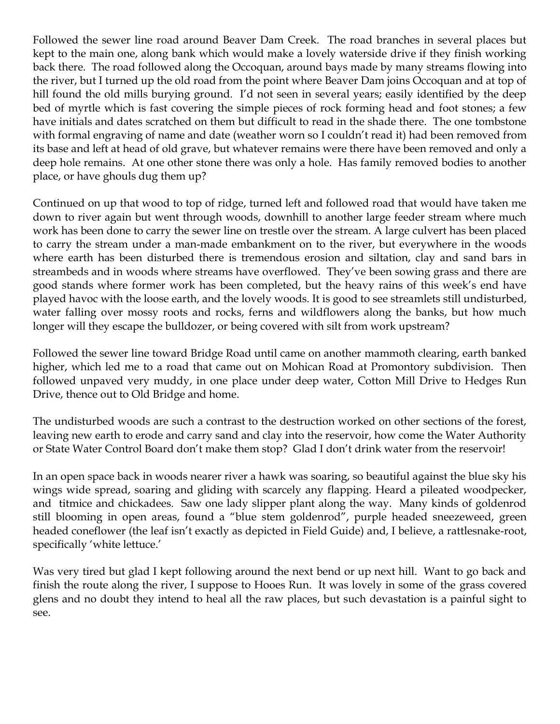Followed the sewer line road around Beaver Dam Creek. The road branches in several places but kept to the main one, along bank which would make a lovely waterside drive if they finish working back there. The road followed along the Occoquan, around bays made by many streams flowing into the river, but I turned up the old road from the point where Beaver Dam joins Occoquan and at top of hill found the old mills burying ground. I'd not seen in several years; easily identified by the deep bed of myrtle which is fast covering the simple pieces of rock forming head and foot stones; a few have initials and dates scratched on them but difficult to read in the shade there. The one tombstone with formal engraving of name and date (weather worn so I couldn't read it) had been removed from its base and left at head of old grave, but whatever remains were there have been removed and only a deep hole remains. At one other stone there was only a hole. Has family removed bodies to another place, or have ghouls dug them up?

Continued on up that wood to top of ridge, turned left and followed road that would have taken me down to river again but went through woods, downhill to another large feeder stream where much work has been done to carry the sewer line on trestle over the stream. A large culvert has been placed to carry the stream under a man-made embankment on to the river, but everywhere in the woods where earth has been disturbed there is tremendous erosion and siltation, clay and sand bars in streambeds and in woods where streams have overflowed. They've been sowing grass and there are good stands where former work has been completed, but the heavy rains of this week's end have played havoc with the loose earth, and the lovely woods. It is good to see streamlets still undisturbed, water falling over mossy roots and rocks, ferns and wildflowers along the banks, but how much longer will they escape the bulldozer, or being covered with silt from work upstream?

Followed the sewer line toward Bridge Road until came on another mammoth clearing, earth banked higher, which led me to a road that came out on Mohican Road at Promontory subdivision. Then followed unpaved very muddy, in one place under deep water, Cotton Mill Drive to Hedges Run Drive, thence out to Old Bridge and home.

The undisturbed woods are such a contrast to the destruction worked on other sections of the forest, leaving new earth to erode and carry sand and clay into the reservoir, how come the Water Authority or State Water Control Board don't make them stop? Glad I don't drink water from the reservoir!

In an open space back in woods nearer river a hawk was soaring, so beautiful against the blue sky his wings wide spread, soaring and gliding with scarcely any flapping. Heard a pileated woodpecker, and titmice and chickadees. Saw one lady slipper plant along the way. Many kinds of goldenrod still blooming in open areas, found a "blue stem goldenrod", purple headed sneezeweed, green headed coneflower (the leaf isn't exactly as depicted in Field Guide) and, I believe, a rattlesnake-root, specifically 'white lettuce.'

Was very tired but glad I kept following around the next bend or up next hill. Want to go back and finish the route along the river, I suppose to Hooes Run. It was lovely in some of the grass covered glens and no doubt they intend to heal all the raw places, but such devastation is a painful sight to see.